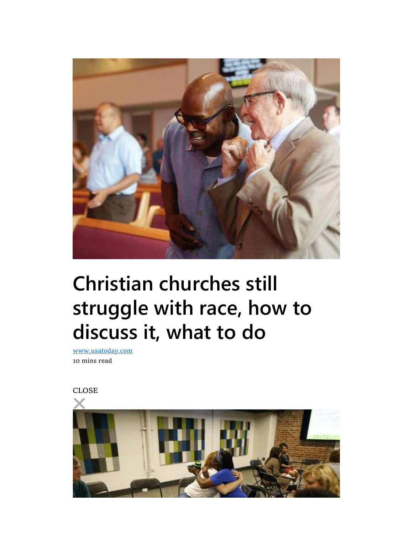

# Christian churches still struggle with race, how to discuss it, what to do

www.usatoday.com 10 mins read

CLOSE

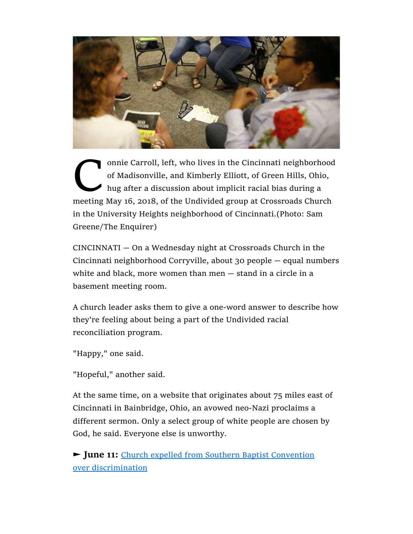

onnie Carroll, left, who lives in the Cincinnati neighborhood<br>of Madisonville, and Kimberly Elliott, of Green Hills, Ohio,<br>hug after a discussion about implicit racial bias during a<br>meeting May 16, 2018, of the Undivided g of Madisonville, and Kimberly Elliott, of Green Hills, Ohio, hug after a discussion about implicit racial bias during a meeting May 16, 2018, of the Undivided group at Crossroads Church in the University Heights neighborhood of Cincinnati.(Photo: Sam Greene/The Enquirer)

CINCINNATI — On a Wednesday night at Crossroads Church in the Cincinnati neighborhood Corryville, about 30 people — equal numbers white and black, more women than men — stand in a circle in a basement meeting room.

A church leader asks them to give a one-word answer to describe how they're feeling about being a part of the Undivided racial reconciliation program.

"Happy," one said.

"Hopeful," another said.

At the same time, on a website that originates about 75 miles east of Cincinnati in Bainbridge, Ohio, an avowed neo-Nazi proclaims a different sermon. Only a select group of white people are chosen by God, he said. Everyone else is unworthy.

► **June 11:** Church expelled from Southern Baptist Convention over discrimination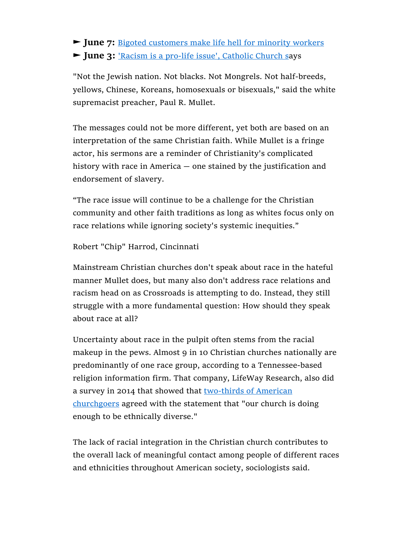► **June 7:** Bigoted customers make life hell for minority workers ► **June 3:** 'Racism is a pro-life issue', Catholic Church says

"Not the Jewish nation. Not blacks. Not Mongrels. Not half-breeds, yellows, Chinese, Koreans, homosexuals or bisexuals," said the white supremacist preacher, Paul R. Mullet.

The messages could not be more different, yet both are based on an interpretation of the same Christian faith. While Mullet is a fringe actor, his sermons are a reminder of Christianity's complicated history with race in America — one stained by the justification and endorsement of slavery.

"The race issue will continue to be a challenge for the Christian community and other faith traditions as long as whites focus only on race relations while ignoring society's systemic inequities."

#### Robert "Chip" Harrod, Cincinnati

Mainstream Christian churches don't speak about race in the hateful manner Mullet does, but many also don't address race relations and racism head on as Crossroads is attempting to do. Instead, they still struggle with a more fundamental question: How should they speak about race at all?

Uncertainty about race in the pulpit often stems from the racial makeup in the pews. Almost 9 in 10 Christian churches nationally are predominantly of one race group, according to a Tennessee-based religion information firm. That company, LifeWay Research, also did a survey in 2014 that showed that two-thirds of American churchgoers agreed with the statement that "our church is doing enough to be ethnically diverse."

The lack of racial integration in the Christian church contributes to the overall lack of meaningful contact among people of different races and ethnicities throughout American society, sociologists said.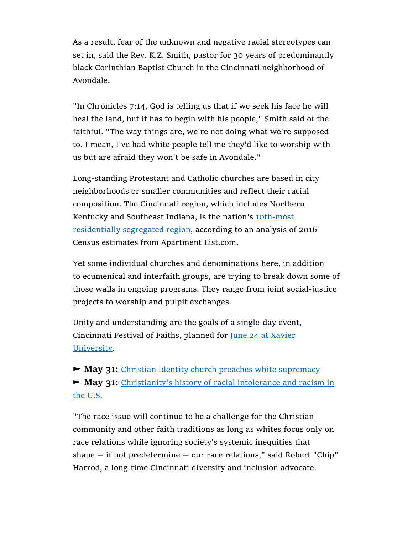As a result, fear of the unknown and negative racial stereotypes can set in, said the Rev. K.Z. Smith, pastor for 30 years of predominantly black Corinthian Baptist Church in the Cincinnati neighborhood of Avondale.

"In Chronicles 7:14, God is telling us that if we seek his face he will heal the land, but it has to begin with his people," Smith said of the faithful. "The way things are, we're not doing what we're supposed to. I mean, I've had white people tell me they'd like to worship with us but are afraid they won't be safe in Avondale."

Long-standing Protestant and Catholic churches are based in city neighborhoods or smaller communities and reflect their racial composition. The Cincinnati region, which includes Northern Kentucky and Southeast Indiana, is the nation's 10th-most residentially segregated region, according to an analysis of 2016 Census estimates from Apartment List.com.

Yet some individual churches and denominations here, in addition to ecumenical and interfaith groups, are trying to break down some of those walls in ongoing programs. They range from joint social-justice projects to worship and pulpit exchanges.

Unity and understanding are the goals of a single-day event, Cincinnati Festival of Faiths, planned for **June 24 at Xavier** University.

► **May 31:** Christian Identity church preaches white supremacy ► **May 31:** Christianity's history of racial intolerance and racism in the U.S.

"The race issue will continue to be a challenge for the Christian community and other faith traditions as long as whites focus only on race relations while ignoring society's systemic inequities that shape — if not predetermine — our race relations," said Robert "Chip" Harrod, a long-time Cincinnati diversity and inclusion advocate.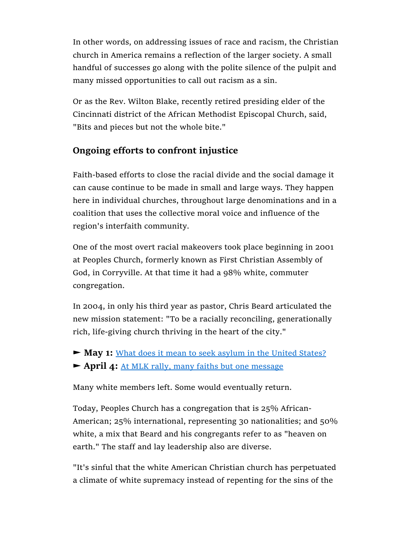In other words, on addressing issues of race and racism, the Christian church in America remains a reflection of the larger society. A small handful of successes go along with the polite silence of the pulpit and many missed opportunities to call out racism as a sin.

Or as the Rev. Wilton Blake, recently retired presiding elder of the Cincinnati district of the African Methodist Episcopal Church, said, "Bits and pieces but not the whole bite."

### **Ongoing efforts to confront injustice**

Faith-based efforts to close the racial divide and the social damage it can cause continue to be made in small and large ways. They happen here in individual churches, throughout large denominations and in a coalition that uses the collective moral voice and influence of the region's interfaith community.

One of the most overt racial makeovers took place beginning in 2001 at Peoples Church, formerly known as First Christian Assembly of God, in Corryville. At that time it had a 98% white, commuter congregation.

In 2004, in only his third year as pastor, Chris Beard articulated the new mission statement: "To be a racially reconciling, generationally rich, life-giving church thriving in the heart of the city."

► **May 1:** What does it mean to seek asylum in the United States? ► **April 4:** At MLK rally, many faiths but one message

Many white members left. Some would eventually return.

Today, Peoples Church has a congregation that is 25% African-American; 25% international, representing 30 nationalities; and 50% white, a mix that Beard and his congregants refer to as "heaven on earth." The staff and lay leadership also are diverse.

"It's sinful that the white American Christian church has perpetuated a climate of white supremacy instead of repenting for the sins of the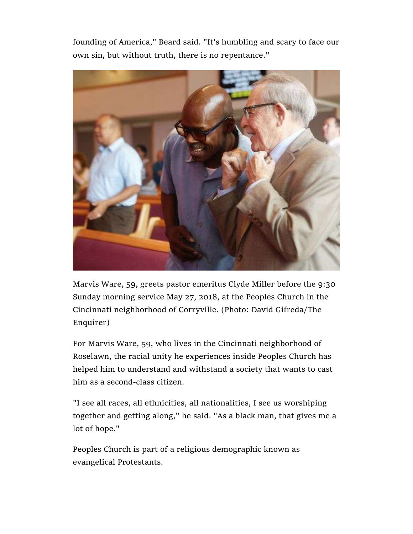founding of America," Beard said. "It's humbling and scary to face our own sin, but without truth, there is no repentance."



Marvis Ware, 59, greets pastor emeritus Clyde Miller before the 9:30 Sunday morning service May 27, 2018, at the Peoples Church in the Cincinnati neighborhood of Corryville. (Photo: David Gifreda/The Enquirer)

For Marvis Ware, 59, who lives in the Cincinnati neighborhood of Roselawn, the racial unity he experiences inside Peoples Church has helped him to understand and withstand a society that wants to cast him as a second-class citizen.

"I see all races, all ethnicities, all nationalities, I see us worshiping together and getting along," he said. "As a black man, that gives me a lot of hope."

Peoples Church is part of a religious demographic known as evangelical Protestants.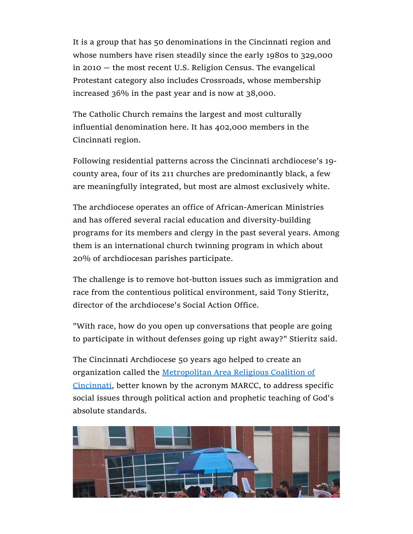It is a group that has 50 denominations in the Cincinnati region and whose numbers have risen steadily since the early 1980s to 329,000 in 2010 — the most recent U.S. Religion Census. The evangelical Protestant category also includes Crossroads, whose membership increased 36% in the past year and is now at 38,000.

The Catholic Church remains the largest and most culturally influential denomination here. It has 402,000 members in the Cincinnati region.

Following residential patterns across the Cincinnati archdiocese's 19 county area, four of its 211 churches are predominantly black, a few are meaningfully integrated, but most are almost exclusively white.

The archdiocese operates an office of African-American Ministries and has offered several racial education and diversity-building programs for its members and clergy in the past several years. Among them is an international church twinning program in which about 20% of archdiocesan parishes participate.

The challenge is to remove hot-button issues such as immigration and race from the contentious political environment, said Tony Stieritz, director of the archdiocese's Social Action Office.

"With race, how do you open up conversations that people are going to participate in without defenses going up right away?" Stieritz said.

The Cincinnati Archdiocese 50 years ago helped to create an organization called the Metropolitan Area Religious Coalition of Cincinnati, better known by the acronym MARCC, to address specific social issues through political action and prophetic teaching of God's absolute standards.

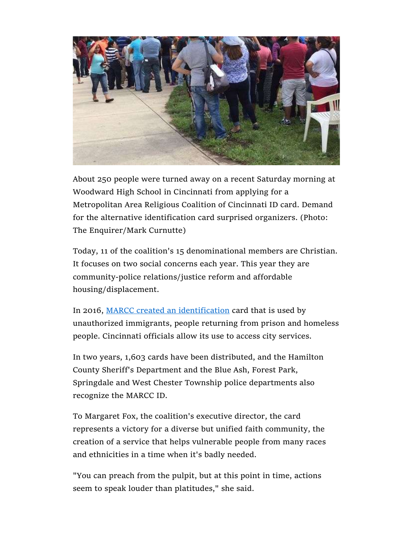

About 250 people were turned away on a recent Saturday morning at Woodward High School in Cincinnati from applying for a Metropolitan Area Religious Coalition of Cincinnati ID card. Demand for the alternative identification card surprised organizers. (Photo: The Enquirer/Mark Curnutte)

Today, 11 of the coalition's 15 denominational members are Christian. It focuses on two social concerns each year. This year they are community-police relations/justice reform and affordable housing/displacement.

In 2016, MARCC created an identification card that is used by unauthorized immigrants, people returning from prison and homeless people. Cincinnati officials allow its use to access city services.

In two years, 1,603 cards have been distributed, and the Hamilton County Sheriff's Department and the Blue Ash, Forest Park, Springdale and West Chester Township police departments also recognize the MARCC ID.

To Margaret Fox, the coalition's executive director, the card represents a victory for a diverse but unified faith community, the creation of a service that helps vulnerable people from many races and ethnicities in a time when it's badly needed.

"You can preach from the pulpit, but at this point in time, actions seem to speak louder than platitudes," she said.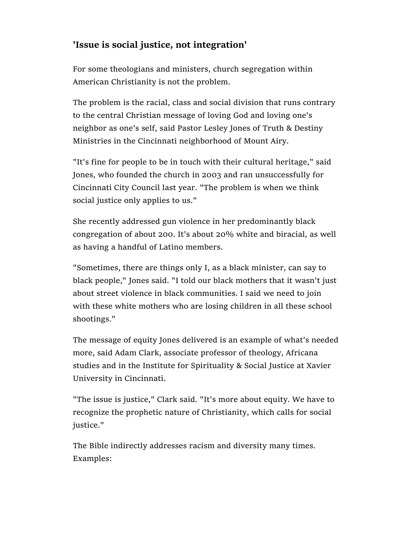### **'Issue is social justice, not integration'**

For some theologians and ministers, church segregation within American Christianity is not the problem.

The problem is the racial, class and social division that runs contrary to the central Christian message of loving God and loving one's neighbor as one's self, said Pastor Lesley Jones of Truth & Destiny Ministries in the Cincinnati neighborhood of Mount Airy.

"It's fine for people to be in touch with their cultural heritage," said Jones, who founded the church in 2003 and ran unsuccessfully for Cincinnati City Council last year. "The problem is when we think social justice only applies to us."

She recently addressed gun violence in her predominantly black congregation of about 200. It's about 20% white and biracial, as well as having a handful of Latino members.

"Sometimes, there are things only I, as a black minister, can say to black people," Jones said. "I told our black mothers that it wasn't just about street violence in black communities. I said we need to join with these white mothers who are losing children in all these school shootings."

The message of equity Jones delivered is an example of what's needed more, said Adam Clark, associate professor of theology, Africana studies and in the Institute for Spirituality & Social Justice at Xavier University in Cincinnati.

"The issue is justice," Clark said. "It's more about equity. We have to recognize the prophetic nature of Christianity, which calls for social justice."

The Bible indirectly addresses racism and diversity many times. Examples: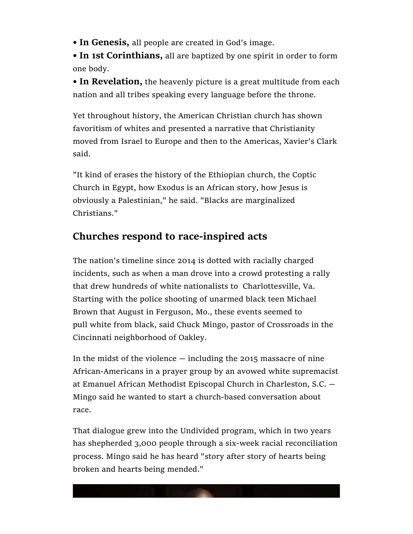**• In Genesis,** all people are created in God's image.

**• In 1st Corinthians,** all are baptized by one spirit in order to form one body.

**• In Revelation,** the heavenly picture is a great multitude from each nation and all tribes speaking every language before the throne.

Yet throughout history, the American Christian church has shown favoritism of whites and presented a narrative that Christianity moved from Israel to Europe and then to the Americas, Xavier's Clark said.

"It kind of erases the history of the Ethiopian church, the Coptic Church in Egypt, how Exodus is an African story, how Jesus is obviously a Palestinian," he said. "Blacks are marginalized Christians."

## **Churches respond to race-inspired acts**

The nation's timeline since 2014 is dotted with racially charged incidents, such as when a man drove into a crowd protesting a rally that drew hundreds of white nationalists to Charlottesville, Va. Starting with the police shooting of unarmed black teen Michael Brown that August in Ferguson, Mo., these events seemed to pull white from black, said Chuck Mingo, pastor of Crossroads in the Cincinnati neighborhood of Oakley.

In the midst of the violence  $-$  including the 2015 massacre of nine African-Americans in a prayer group by an avowed white supremacist at Emanuel African Methodist Episcopal Church in Charleston, S.C. — Mingo said he wanted to start a church-based conversation about race.

That dialogue grew into the Undivided program, which in two years has shepherded 3,000 people through a six-week racial reconciliation process. Mingo said he has heard "story after story of hearts being broken and hearts being mended."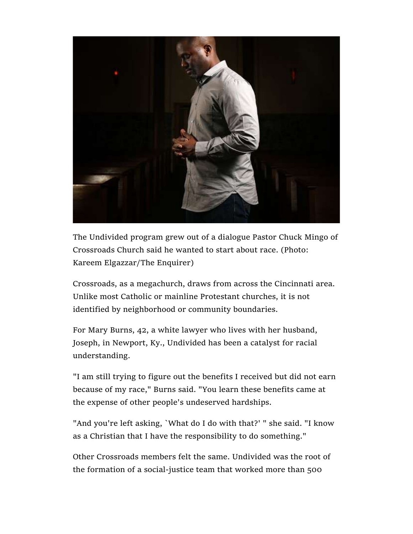

The Undivided program grew out of a dialogue Pastor Chuck Mingo of Crossroads Church said he wanted to start about race. (Photo: Kareem Elgazzar/The Enquirer)

Crossroads, as a megachurch, draws from across the Cincinnati area. Unlike most Catholic or mainline Protestant churches, it is not identified by neighborhood or community boundaries.

For Mary Burns, 42, a white lawyer who lives with her husband, Joseph, in Newport, Ky., Undivided has been a catalyst for racial understanding.

"I am still trying to figure out the benefits I received but did not earn because of my race," Burns said. "You learn these benefits came at the expense of other people's undeserved hardships.

"And you're left asking, `What do I do with that?' " she said. "I know as a Christian that I have the responsibility to do something."

Other Crossroads members felt the same. Undivided was the root of the formation of a social-justice team that worked more than 500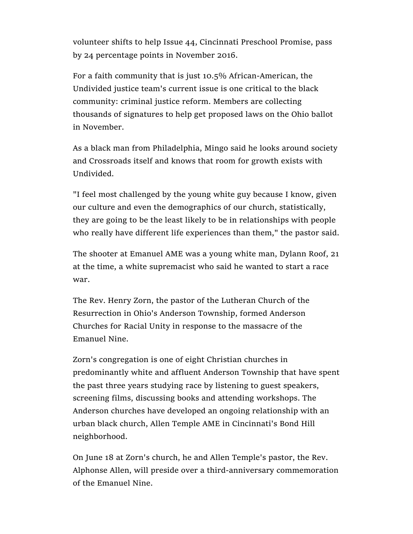volunteer shifts to help Issue 44, Cincinnati Preschool Promise, pass by 24 percentage points in November 2016.

For a faith community that is just 10.5% African-American, the Undivided justice team's current issue is one critical to the black community: criminal justice reform. Members are collecting thousands of signatures to help get proposed laws on the Ohio ballot in November.

As a black man from Philadelphia, Mingo said he looks around society and Crossroads itself and knows that room for growth exists with Undivided.

"I feel most challenged by the young white guy because I know, given our culture and even the demographics of our church, statistically, they are going to be the least likely to be in relationships with people who really have different life experiences than them," the pastor said.

The shooter at Emanuel AME was a young white man, Dylann Roof, 21 at the time, a white supremacist who said he wanted to start a race war.

The Rev. Henry Zorn, the pastor of the Lutheran Church of the Resurrection in Ohio's Anderson Township, formed Anderson Churches for Racial Unity in response to the massacre of the Emanuel Nine.

Zorn's congregation is one of eight Christian churches in predominantly white and affluent Anderson Township that have spent the past three years studying race by listening to guest speakers, screening films, discussing books and attending workshops. The Anderson churches have developed an ongoing relationship with an urban black church, Allen Temple AME in Cincinnati's Bond Hill neighborhood.

On June 18 at Zorn's church, he and Allen Temple's pastor, the Rev. Alphonse Allen, will preside over a third-anniversary commemoration of the Emanuel Nine.